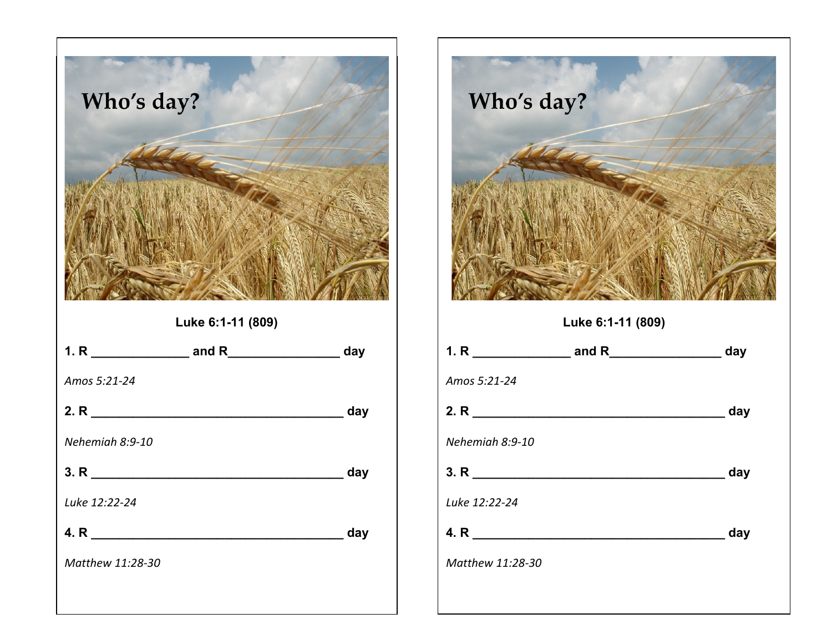